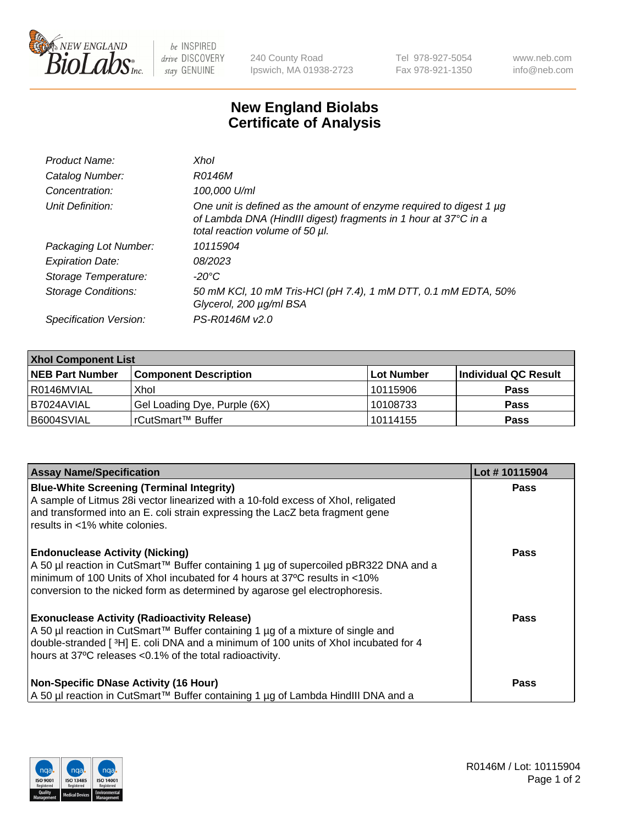

 $be$  INSPIRED drive DISCOVERY stay GENUINE

240 County Road Ipswich, MA 01938-2723 Tel 978-927-5054 Fax 978-921-1350 www.neb.com info@neb.com

## **New England Biolabs Certificate of Analysis**

| Product Name:              | Xhol                                                                                                                                                                      |
|----------------------------|---------------------------------------------------------------------------------------------------------------------------------------------------------------------------|
| Catalog Number:            | R0146M                                                                                                                                                                    |
| Concentration:             | 100,000 U/ml                                                                                                                                                              |
| Unit Definition:           | One unit is defined as the amount of enzyme required to digest 1 µg<br>of Lambda DNA (HindIII digest) fragments in 1 hour at 37°C in a<br>total reaction volume of 50 µl. |
| Packaging Lot Number:      | 10115904                                                                                                                                                                  |
| <b>Expiration Date:</b>    | 08/2023                                                                                                                                                                   |
| Storage Temperature:       | -20°C                                                                                                                                                                     |
| <b>Storage Conditions:</b> | 50 mM KCl, 10 mM Tris-HCl (pH 7.4), 1 mM DTT, 0.1 mM EDTA, 50%<br>Glycerol, 200 µg/ml BSA                                                                                 |
| Specification Version:     | PS-R0146M v2.0                                                                                                                                                            |

| <b>Xhol Component List</b> |                              |            |                      |  |  |
|----------------------------|------------------------------|------------|----------------------|--|--|
| <b>NEB Part Number</b>     | <b>Component Description</b> | Lot Number | Individual QC Result |  |  |
| R0146MVIAL                 | Xhol                         | 10115906   | <b>Pass</b>          |  |  |
| B7024AVIAL                 | Gel Loading Dye, Purple (6X) | 10108733   | <b>Pass</b>          |  |  |
| B6004SVIAL                 | rCutSmart™ Buffer            | 10114155   | <b>Pass</b>          |  |  |

| <b>Assay Name/Specification</b>                                                                                                                                                                                                                                                           | Lot #10115904 |
|-------------------------------------------------------------------------------------------------------------------------------------------------------------------------------------------------------------------------------------------------------------------------------------------|---------------|
| <b>Blue-White Screening (Terminal Integrity)</b><br>A sample of Litmus 28i vector linearized with a 10-fold excess of Xhol, religated<br>and transformed into an E. coli strain expressing the LacZ beta fragment gene                                                                    | <b>Pass</b>   |
| results in <1% white colonies.<br><b>Endonuclease Activity (Nicking)</b>                                                                                                                                                                                                                  | <b>Pass</b>   |
| A 50 µl reaction in CutSmart™ Buffer containing 1 µg of supercoiled pBR322 DNA and a<br>minimum of 100 Units of Xhol incubated for 4 hours at 37°C results in <10%<br>conversion to the nicked form as determined by agarose gel electrophoresis.                                         |               |
| <b>Exonuclease Activity (Radioactivity Release)</b><br>A 50 µl reaction in CutSmart™ Buffer containing 1 µg of a mixture of single and<br>double-stranded [3H] E. coli DNA and a minimum of 100 units of Xhol incubated for 4<br>hours at 37°C releases <0.1% of the total radioactivity. | Pass          |
| <b>Non-Specific DNase Activity (16 Hour)</b><br>  A 50 µl reaction in CutSmart™ Buffer containing 1 µg of Lambda HindIII DNA and a                                                                                                                                                        | <b>Pass</b>   |